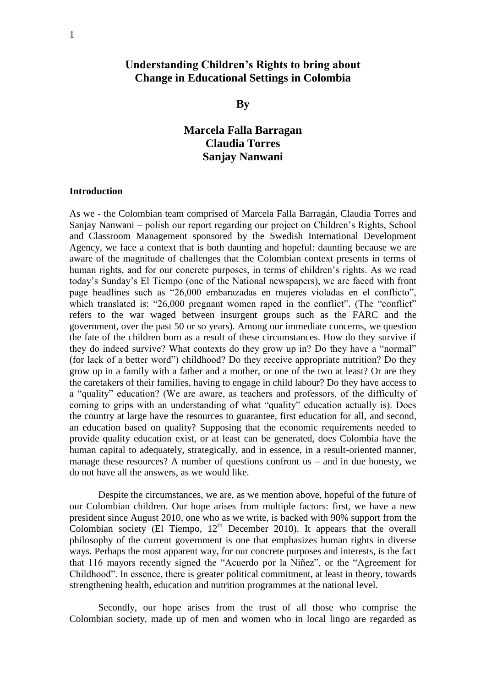# **Understanding Children's Rights to bring about Change in Educational Settings in Colombia**

## **By**

# **Marcela Falla Barragan Claudia Torres Sanjay Nanwani**

#### **Introduction**

As we - the Colombian team comprised of Marcela Falla Barragán, Claudia Torres and Sanjay Nanwani – polish our report regarding our project on Children"s Rights, School and Classroom Management sponsored by the Swedish International Development Agency, we face a context that is both daunting and hopeful: daunting because we are aware of the magnitude of challenges that the Colombian context presents in terms of human rights, and for our concrete purposes, in terms of children"s rights. As we read today"s Sunday"s El Tiempo (one of the National newspapers), we are faced with front page headlines such as "26,000 embarazadas en mujeres violadas en el conflicto", which translated is: "26,000 pregnant women raped in the conflict". (The "conflict" refers to the war waged between insurgent groups such as the FARC and the government, over the past 50 or so years). Among our immediate concerns, we question the fate of the children born as a result of these circumstances. How do they survive if they do indeed survive? What contexts do they grow up in? Do they have a "normal" (for lack of a better word") childhood? Do they receive appropriate nutrition? Do they grow up in a family with a father and a mother, or one of the two at least? Or are they the caretakers of their families, having to engage in child labour? Do they have access to a "quality" education? (We are aware, as teachers and professors, of the difficulty of coming to grips with an understanding of what "quality" education actually is). Does the country at large have the resources to guarantee, first education for all, and second, an education based on quality? Supposing that the economic requirements needed to provide quality education exist, or at least can be generated, does Colombia have the human capital to adequately, strategically, and in essence, in a result-oriented manner, manage these resources? A number of questions confront us – and in due honesty, we do not have all the answers, as we would like.

Despite the circumstances, we are, as we mention above, hopeful of the future of our Colombian children. Our hope arises from multiple factors: first, we have a new president since August 2010, one who as we write, is backed with 90% support from the Colombian society (El Tiempo,  $12<sup>th</sup>$  December 2010). It appears that the overall philosophy of the current government is one that emphasizes human rights in diverse ways. Perhaps the most apparent way, for our concrete purposes and interests, is the fact that 116 mayors recently signed the "Acuerdo por la Niñez", or the "Agreement for Childhood". In essence, there is greater political commitment, at least in theory, towards strengthening health, education and nutrition programmes at the national level.

Secondly, our hope arises from the trust of all those who comprise the Colombian society, made up of men and women who in local lingo are regarded as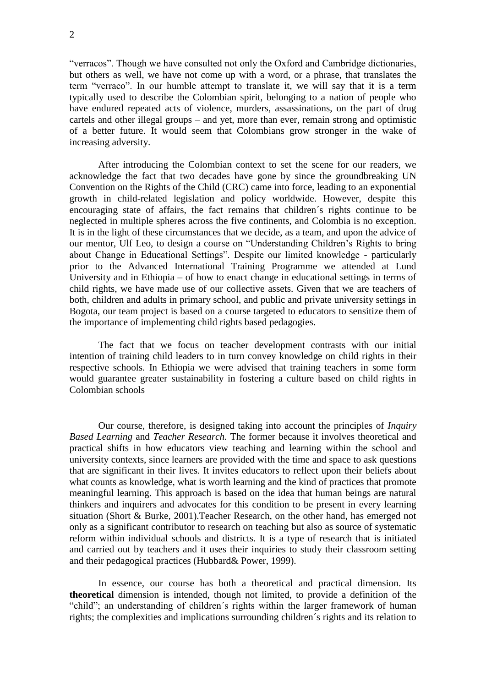"verracos". Though we have consulted not only the Oxford and Cambridge dictionaries, but others as well, we have not come up with a word, or a phrase, that translates the term "verraco". In our humble attempt to translate it, we will say that it is a term typically used to describe the Colombian spirit, belonging to a nation of people who have endured repeated acts of violence, murders, assassinations, on the part of drug cartels and other illegal groups – and yet, more than ever, remain strong and optimistic of a better future. It would seem that Colombians grow stronger in the wake of increasing adversity.

After introducing the Colombian context to set the scene for our readers, we acknowledge the fact that two decades have gone by since the groundbreaking UN Convention on the Rights of the Child (CRC) came into force, leading to an exponential growth in child-related legislation and policy worldwide. However, despite this encouraging state of affairs, the fact remains that children´s rights continue to be neglected in multiple spheres across the five continents, and Colombia is no exception. It is in the light of these circumstances that we decide, as a team, and upon the advice of our mentor, Ulf Leo, to design a course on "Understanding Children"s Rights to bring about Change in Educational Settings". Despite our limited knowledge - particularly prior to the Advanced International Training Programme we attended at Lund University and in Ethiopia – of how to enact change in educational settings in terms of child rights, we have made use of our collective assets. Given that we are teachers of both, children and adults in primary school, and public and private university settings in Bogota, our team project is based on a course targeted to educators to sensitize them of the importance of implementing child rights based pedagogies.

The fact that we focus on teacher development contrasts with our initial intention of training child leaders to in turn convey knowledge on child rights in their respective schools. In Ethiopia we were advised that training teachers in some form would guarantee greater sustainability in fostering a culture based on child rights in Colombian schools

Our course, therefore, is designed taking into account the principles of *Inquiry Based Learning* and *Teacher Research.* The former because it involves theoretical and practical shifts in how educators view teaching and learning within the school and university contexts, since learners are provided with the time and space to ask questions that are significant in their lives. It invites educators to reflect upon their beliefs about what counts as knowledge, what is worth learning and the kind of practices that promote meaningful learning. This approach is based on the idea that human beings are natural thinkers and inquirers and advocates for this condition to be present in every learning situation (Short & Burke, 2001).Teacher Research, on the other hand, has emerged not only as a significant contributor to research on teaching but also as source of systematic reform within individual schools and districts. It is a type of research that is initiated and carried out by teachers and it uses their inquiries to study their classroom setting and their pedagogical practices (Hubbard& Power, 1999).

In essence, our course has both a theoretical and practical dimension. Its **theoretical** dimension is intended, though not limited, to provide a definition of the "child"; an understanding of children´s rights within the larger framework of human rights; the complexities and implications surrounding children´s rights and its relation to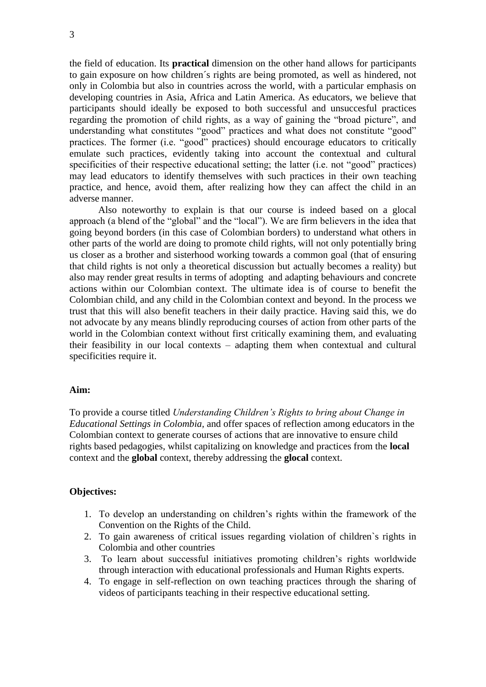the field of education. Its **practical** dimension on the other hand allows for participants to gain exposure on how children´s rights are being promoted, as well as hindered, not only in Colombia but also in countries across the world, with a particular emphasis on developing countries in Asia, Africa and Latin America. As educators, we believe that participants should ideally be exposed to both successful and unsuccesful practices regarding the promotion of child rights, as a way of gaining the "broad picture", and understanding what constitutes "good" practices and what does not constitute "good" practices. The former (i.e. "good" practices) should encourage educators to critically emulate such practices, evidently taking into account the contextual and cultural specificities of their respective educational setting; the latter (i.e. not "good" practices) may lead educators to identify themselves with such practices in their own teaching practice, and hence, avoid them, after realizing how they can affect the child in an adverse manner.

Also noteworthy to explain is that our course is indeed based on a glocal approach (a blend of the "global" and the "local"). We are firm believers in the idea that going beyond borders (in this case of Colombian borders) to understand what others in other parts of the world are doing to promote child rights, will not only potentially bring us closer as a brother and sisterhood working towards a common goal (that of ensuring that child rights is not only a theoretical discussion but actually becomes a reality) but also may render great results in terms of adopting and adapting behaviours and concrete actions within our Colombian context. The ultimate idea is of course to benefit the Colombian child, and any child in the Colombian context and beyond. In the process we trust that this will also benefit teachers in their daily practice. Having said this, we do not advocate by any means blindly reproducing courses of action from other parts of the world in the Colombian context without first critically examining them, and evaluating their feasibility in our local contexts – adapting them when contextual and cultural specificities require it.

#### **Aim:**

To provide a course titled *Understanding Children's Rights to bring about Change in Educational Settings in Colombia,* and offer spaces of reflection among educators in the Colombian context to generate courses of actions that are innovative to ensure child rights based pedagogies, whilst capitalizing on knowledge and practices from the **local**  context and the **global** context, thereby addressing the **glocal** context.

#### **Objectives:**

- 1. To develop an understanding on children"s rights within the framework of the Convention on the Rights of the Child.
- 2. To gain awareness of critical issues regarding violation of children`s rights in Colombia and other countries
- 3. To learn about successful initiatives promoting children"s rights worldwide through interaction with educational professionals and Human Rights experts.
- 4. To engage in self-reflection on own teaching practices through the sharing of videos of participants teaching in their respective educational setting.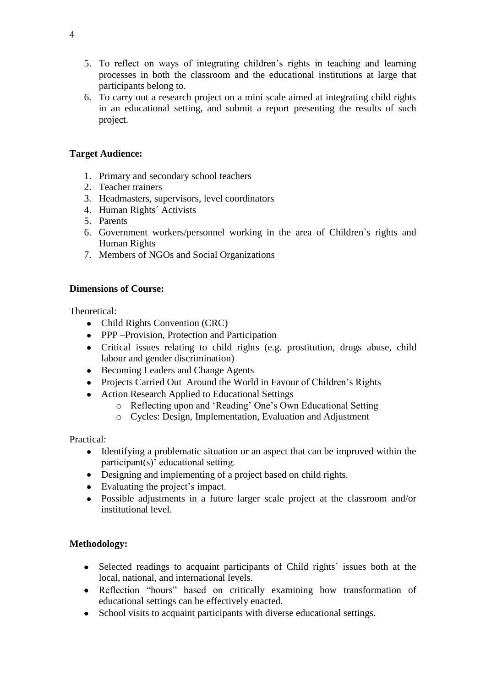- 5. To reflect on ways of integrating children"s rights in teaching and learning processes in both the classroom and the educational institutions at large that participants belong to.
- 6. To carry out a research project on a mini scale aimed at integrating child rights in an educational setting, and submit a report presenting the results of such project.

# **Target Audience:**

- 1. Primary and secondary school teachers
- 2. Teacher trainers
- 3. Headmasters, supervisors, level coordinators
- 4. Human Rights´ Activists
- 5. Parents
- 6. Government workers/personnel working in the area of Children`s rights and Human Rights
- 7. Members of NGOs and Social Organizations

# **Dimensions of Course:**

Theoretical:

- Child Rights Convention (CRC)
- PPP –Provision, Protection and Participation
- Critical issues relating to child rights (e.g. prostitution, drugs abuse, child labour and gender discrimination)
- Becoming Leaders and Change Agents
- Projects Carried Out Around the World in Favour of Children's Rights
- Action Research Applied to Educational Settings
	- o Reflecting upon and "Reading" One"s Own Educational Setting
	- o Cycles: Design, Implementation, Evaluation and Adjustment

Practical:

- Identifying a problematic situation or an aspect that can be improved within the participant(s)' educational setting.
- Designing and implementing of a project based on child rights.
- Evaluating the project's impact.
- Possible adjustments in a future larger scale project at the classroom and/or institutional level.

# **Methodology:**

- Selected readings to acquaint participants of Child rights' issues both at the local, national, and international levels.
- Reflection "hours" based on critically examining how transformation of educational settings can be effectively enacted.
- School visits to acquaint participants with diverse educational settings.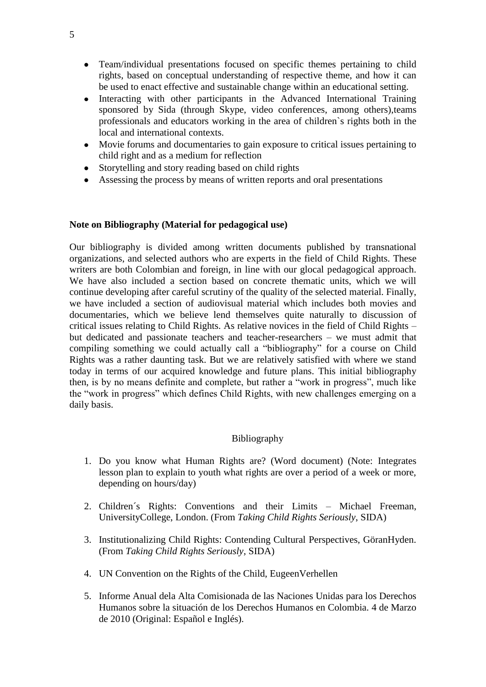- Team/individual presentations focused on specific themes pertaining to child rights, based on conceptual understanding of respective theme, and how it can be used to enact effective and sustainable change within an educational setting.
- Interacting with other participants in the Advanced International Training sponsored by Sida (through Skype, video conferences, among others),teams professionals and educators working in the area of children`s rights both in the local and international contexts.
- Movie forums and documentaries to gain exposure to critical issues pertaining to child right and as a medium for reflection
- Storytelling and story reading based on child rights
- Assessing the process by means of written reports and oral presentations

## **Note on Bibliography (Material for pedagogical use)**

Our bibliography is divided among written documents published by transnational organizations, and selected authors who are experts in the field of Child Rights. These writers are both Colombian and foreign, in line with our glocal pedagogical approach. We have also included a section based on concrete thematic units, which we will continue developing after careful scrutiny of the quality of the selected material. Finally, we have included a section of audiovisual material which includes both movies and documentaries, which we believe lend themselves quite naturally to discussion of critical issues relating to Child Rights. As relative novices in the field of Child Rights – but dedicated and passionate teachers and teacher-researchers  $-$  we must admit that compiling something we could actually call a "bibliography" for a course on Child Rights was a rather daunting task. But we are relatively satisfied with where we stand today in terms of our acquired knowledge and future plans. This initial bibliography then, is by no means definite and complete, but rather a "work in progress", much like the "work in progress" which defines Child Rights, with new challenges emerging on a daily basis.

## Bibliography

- 1. Do you know what Human Rights are? (Word document) (Note: Integrates lesson plan to explain to youth what rights are over a period of a week or more, depending on hours/day)
- 2. Children´s Rights: Conventions and their Limits Michael Freeman, UniversityCollege, London. (From *Taking Child Rights Seriously*, SIDA)
- 3. Institutionalizing Child Rights: Contending Cultural Perspectives, GöranHyden. (From *Taking Child Rights Seriously*, SIDA)
- 4. UN Convention on the Rights of the Child, EugeenVerhellen
- 5. Informe Anual dela Alta Comisionada de las Naciones Unidas para los Derechos Humanos sobre la situación de los Derechos Humanos en Colombia. 4 de Marzo de 2010 (Original: Español e Inglés).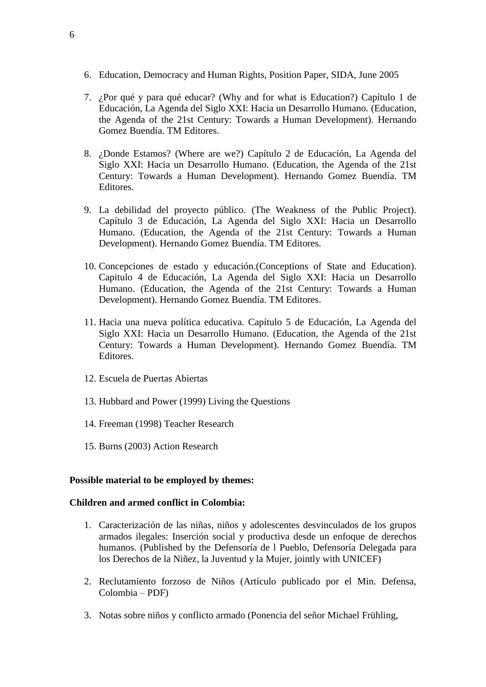- 6. Education, Democracy and Human Rights, Position Paper, SIDA, June 2005
- 7. ¿Por qué y para qué educar? (Why and for what is Education?) Capítulo 1 de Educación, La Agenda del Siglo XXI: Hacia un Desarrollo Humano. (Education, the Agenda of the 21st Century: Towards a Human Development). Hernando Gomez Buendía. TM Editores.
- 8. ¿Donde Estamos? (Where are we?) Capítulo 2 de Educación, La Agenda del Siglo XXI: Hacia un Desarrollo Humano. (Education, the Agenda of the 21st Century: Towards a Human Development). Hernando Gomez Buendía. TM Editores.
- 9. La debilidad del proyecto público. (The Weakness of the Public Project). Capítulo 3 de Educación, La Agenda del Siglo XXI: Hacia un Desarrollo Humano. (Education, the Agenda of the 21st Century: Towards a Human Development). Hernando Gomez Buendía. TM Editores.
- 10. Concepciones de estado y educación.(Conceptions of State and Education). Capitulo 4 de Educación, La Agenda del Siglo XXI: Hacia un Desarrollo Humano. (Education, the Agenda of the 21st Century: Towards a Human Development). Hernando Gomez Buendía. TM Editores.
- 11. Hacia una nueva política educativa. Capítulo 5 de Educación, La Agenda del Siglo XXI: Hacia un Desarrollo Humano. (Education, the Agenda of the 21st Century: Towards a Human Development). Hernando Gomez Buendía. TM Editores.
- 12. Escuela de Puertas Abiertas
- 13. Hubbard and Power (1999) Living the Questions
- 14. Freeman (1998) Teacher Research
- 15. Burns (2003) Action Research

#### **Possible material to be employed by themes:**

#### **Children and armed conflict in Colombia:**

- 1. Caracterización de las niñas, niños y adolescentes desvinculados de los grupos armados ilegales: Inserción social y productiva desde un enfoque de derechos humanos. (Published by the Defensoría de l Pueblo, Defensoría Delegada para los Derechos de la Niñez, la Juventud y la Mujer, jointly with UNICEF)
- 2. Reclutamiento forzoso de Niños (Artículo publicado por el Min. Defensa, Colombia – PDF)
- 3. Notas sobre niños y conflicto armado (Ponencia del señor Michael Frühling,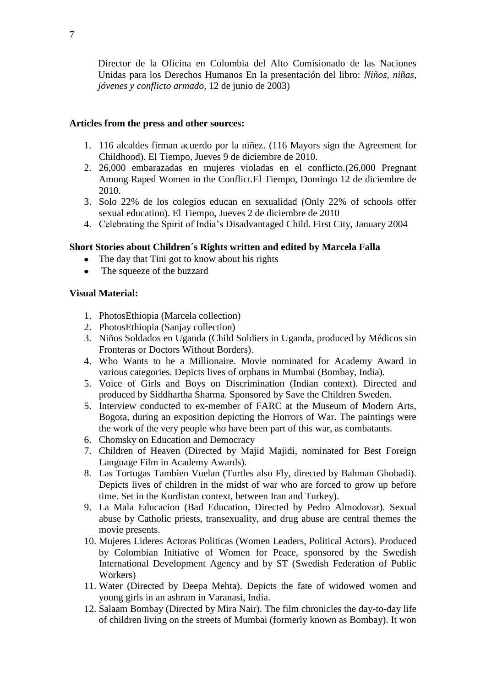Director de la Oficina en Colombia del Alto Comisionado de las Naciones Unidas para los Derechos Humanos En la presentación del libro: *Niños, niñas, jóvenes y conflicto armado,* 12 de junio de 2003)

## **Articles from the press and other sources:**

- 1. 116 alcaldes firman acuerdo por la niñez. (116 Mayors sign the Agreement for Childhood). El Tiempo, Jueves 9 de diciembre de 2010.
- 2. 26,000 embarazadas en mujeres violadas en el conflicto.(26,000 Pregnant Among Raped Women in the Conflict.El Tiempo, Domingo 12 de diciembre de 2010.
- 3. Solo 22% de los colegios educan en sexualidad (Only 22% of schools offer sexual education). El Tiempo, Jueves 2 de diciembre de 2010
- 4. Celebrating the Spirit of India"s Disadvantaged Child. First City, January 2004

# **Short Stories about Children´s Rights written and edited by Marcela Falla**

- The day that Tini got to know about his rights
- The squeeze of the buzzard  $\bullet$

## **Visual Material:**

- 1. PhotosEthiopia (Marcela collection)
- 2. PhotosEthiopia (Sanjay collection)
- 3. Niños Soldados en Uganda (Child Soldiers in Uganda, produced by Médicos sin Fronteras or Doctors Without Borders).
- 4. Who Wants to be a Millionaire. Movie nominated for Academy Award in various categories. Depicts lives of orphans in Mumbai (Bombay, India).
- 5. Voice of Girls and Boys on Discrimination (Indian context). Directed and produced by Siddhartha Sharma. Sponsored by Save the Children Sweden.
- 5. Interview conducted to ex-member of FARC at the Museum of Modern Arts, Bogota, during an exposition depicting the Horrors of War. The paintings were the work of the very people who have been part of this war, as combatants.
- 6. Chomsky on Education and Democracy
- 7. Children of Heaven (Directed by Majid Majidi, nominated for Best Foreign Language Film in Academy Awards).
- 8. Las Tortugas Tambien Vuelan (Turtles also Fly, directed by Bahman Ghobadi). Depicts lives of children in the midst of war who are forced to grow up before time. Set in the Kurdistan context, between Iran and Turkey).
- 9. La Mala Educacion (Bad Education, Directed by Pedro Almodovar). Sexual abuse by Catholic priests, transexuality, and drug abuse are central themes the movie presents.
- 10. Mujeres Lideres Actoras Politicas (Women Leaders, Political Actors). Produced by Colombian Initiative of Women for Peace, sponsored by the Swedish International Development Agency and by ST (Swedish Federation of Public Workers)
- 11. Water (Directed by Deepa Mehta). Depicts the fate of widowed women and young girls in an ashram in Varanasi, India.
- 12. Salaam Bombay (Directed by Mira Nair). The film chronicles the day-to-day life of children living on the streets of Mumbai (formerly known as Bombay). It won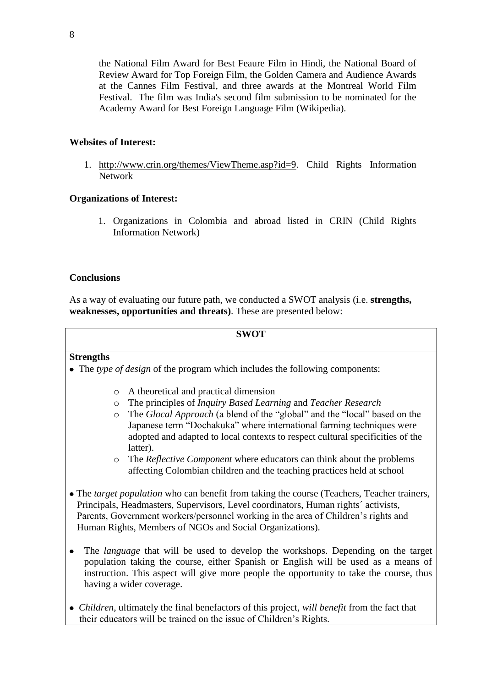the National Film Award for Best Feaure Film in Hindi, the National Board of Review Award for Top Foreign Film, the Golden Camera and Audience Awards at the Cannes Film Festival, and three awards at the Montreal World Film Festival. The film was India's second film submission to be nominated for the Academy Award for Best Foreign Language Film (Wikipedia).

# **Websites of Interest:**

1. [http://www.crin.org/themes/ViewTheme.asp?id=9.](http://www.crin.org/themes/ViewTheme.asp?id=9) Child Rights Information Network

# **Organizations of Interest:**

1. Organizations in Colombia and abroad listed in CRIN (Child Rights Information Network)

## **Conclusions**

As a way of evaluating our future path, we conducted a SWOT analysis (i.e. **strengths, weaknesses, opportunities and threats)**. These are presented below:

#### **SWOT**

## **Strengths**

- The *type of design* of the program which includes the following components:
	- o A theoretical and practical dimension
	- o The principles of *Inquiry Based Learning* and *Teacher Research*
	- o The *Glocal Approach* (a blend of the "global" and the "local" based on the Japanese term "Dochakuka" where international farming techniques were adopted and adapted to local contexts to respect cultural specificities of the latter).
	- o The *Reflective Component* where educators can think about the problems affecting Colombian children and the teaching practices held at school
- The *target population* who can benefit from taking the course (Teachers, Teacher trainers, Principals, Headmasters, Supervisors, Level coordinators, Human rights´ activists, Parents, Government workers/personnel working in the area of Children"s rights and Human Rights, Members of NGOs and Social Organizations).
- The *language* that will be used to develop the workshops. Depending on the target population taking the course, either Spanish or English will be used as a means of instruction. This aspect will give more people the opportunity to take the course, thus having a wider coverage.
- *Children*, ultimately the final benefactors of this project, *will benefit* from the fact that their educators will be trained on the issue of Children"s Rights.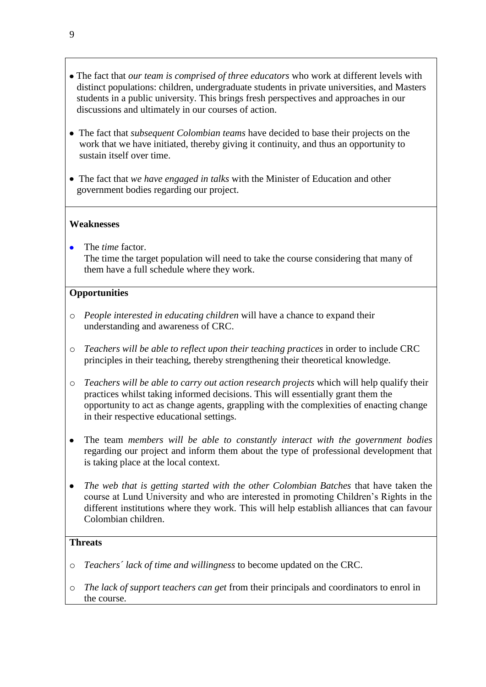- The fact that *our team is comprised of three educators* who work at different levels with distinct populations: children, undergraduate students in private universities, and Masters students in a public university. This brings fresh perspectives and approaches in our discussions and ultimately in our courses of action.
- The fact that *subsequent Colombian teams* have decided to base their projects on the work that we have initiated, thereby giving it continuity, and thus an opportunity to sustain itself over time.
- The fact that *we have engaged in talks* with the Minister of Education and other government bodies regarding our project.

# **Weaknesses**

The *time* factor. The time the target population will need to take the course considering that many of them have a full schedule where they work.

# **Opportunities**

- o *People interested in educating children* will have a chance to expand their understanding and awareness of CRC.
- o *Teachers will be able to reflect upon their teaching practices* in order to include CRC principles in their teaching, thereby strengthening their theoretical knowledge.
- o *Teachers will be able to carry out action research projects* which will help qualify their practices whilst taking informed decisions. This will essentially grant them the opportunity to act as change agents, grappling with the complexities of enacting change in their respective educational settings.
- The team *members will be able to constantly interact with the government bodies*  $\bullet$ regarding our project and inform them about the type of professional development that is taking place at the local context.
- *The web that is getting started with the other Colombian Batches* that have taken the  $\bullet$ course at Lund University and who are interested in promoting Children"s Rights in the different institutions where they work. This will help establish alliances that can favour Colombian children.

## **Threats**

- o *Teachers´ lack of time and willingness* to become updated on the CRC.
- o *The lack of support teachers can get* from their principals and coordinators to enrol in the course.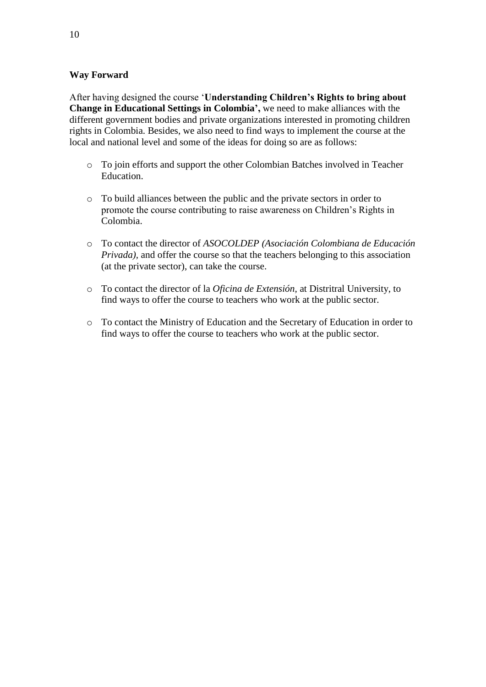# **Way Forward**

After having designed the course "**Understanding Children's Rights to bring about Change in Educational Settings in Colombia',** we need to make alliances with the different government bodies and private organizations interested in promoting children rights in Colombia. Besides, we also need to find ways to implement the course at the local and national level and some of the ideas for doing so are as follows:

- o To join efforts and support the other Colombian Batches involved in Teacher Education.
- o To build alliances between the public and the private sectors in order to promote the course contributing to raise awareness on Children"s Rights in Colombia.
- o To contact the director of *ASOCOLDEP (Asociación Colombiana de Educación Privada*), and offer the course so that the teachers belonging to this association (at the private sector), can take the course.
- o To contact the director of la *Oficina de Extensión,* at Distritral University, to find ways to offer the course to teachers who work at the public sector.
- o To contact the Ministry of Education and the Secretary of Education in order to find ways to offer the course to teachers who work at the public sector.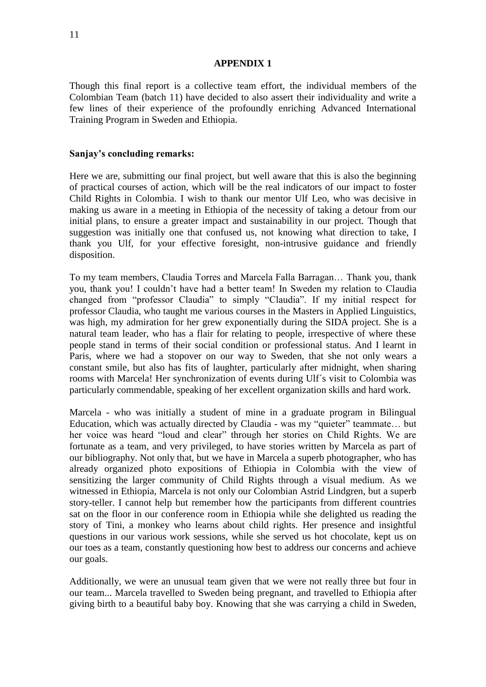#### **APPENDIX 1**

Though this final report is a collective team effort, the individual members of the Colombian Team (batch 11) have decided to also assert their individuality and write a few lines of their experience of the profoundly enriching Advanced International Training Program in Sweden and Ethiopia.

#### **Sanjay's concluding remarks:**

Here we are, submitting our final project, but well aware that this is also the beginning of practical courses of action, which will be the real indicators of our impact to foster Child Rights in Colombia. I wish to thank our mentor Ulf Leo, who was decisive in making us aware in a meeting in Ethiopia of the necessity of taking a detour from our initial plans, to ensure a greater impact and sustainability in our project. Though that suggestion was initially one that confused us, not knowing what direction to take, I thank you Ulf, for your effective foresight, non-intrusive guidance and friendly disposition.

To my team members, Claudia Torres and Marcela Falla Barragan… Thank you, thank you, thank you! I couldn"t have had a better team! In Sweden my relation to Claudia changed from "professor Claudia" to simply "Claudia". If my initial respect for professor Claudia, who taught me various courses in the Masters in Applied Linguistics, was high, my admiration for her grew exponentially during the SIDA project. She is a natural team leader, who has a flair for relating to people, irrespective of where these people stand in terms of their social condition or professional status. And I learnt in Paris, where we had a stopover on our way to Sweden, that she not only wears a constant smile, but also has fits of laughter, particularly after midnight, when sharing rooms with Marcela! Her synchronization of events during Ulf´s visit to Colombia was particularly commendable, speaking of her excellent organization skills and hard work.

Marcela - who was initially a student of mine in a graduate program in Bilingual Education, which was actually directed by Claudia - was my "quieter" teammate… but her voice was heard "loud and clear" through her stories on Child Rights. We are fortunate as a team, and very privileged, to have stories written by Marcela as part of our bibliography. Not only that, but we have in Marcela a superb photographer, who has already organized photo expositions of Ethiopia in Colombia with the view of sensitizing the larger community of Child Rights through a visual medium. As we witnessed in Ethiopia, Marcela is not only our Colombian Astrid Lindgren, but a superb story-teller. I cannot help but remember how the participants from different countries sat on the floor in our conference room in Ethiopia while she delighted us reading the story of Tini, a monkey who learns about child rights. Her presence and insightful questions in our various work sessions, while she served us hot chocolate, kept us on our toes as a team, constantly questioning how best to address our concerns and achieve our goals.

Additionally, we were an unusual team given that we were not really three but four in our team... Marcela travelled to Sweden being pregnant, and travelled to Ethiopia after giving birth to a beautiful baby boy. Knowing that she was carrying a child in Sweden,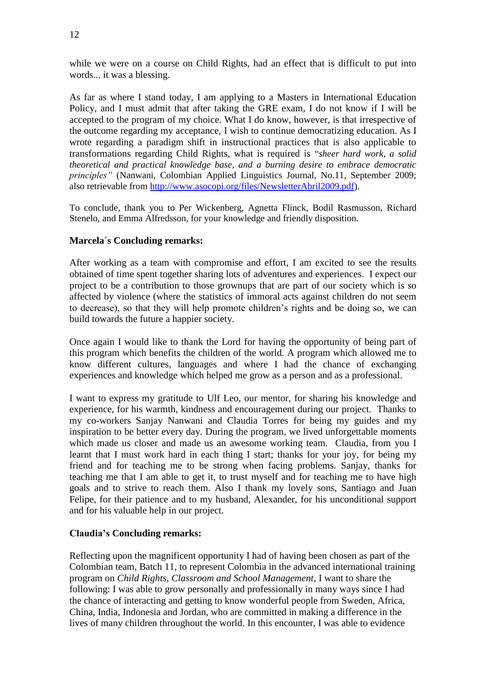while we were on a course on Child Rights, had an effect that is difficult to put into words... it was a blessing.

As far as where I stand today, I am applying to a Masters in International Education Policy, and I must admit that after taking the GRE exam, I do not know if I will be accepted to the program of my choice. What I do know, however, is that irrespective of the outcome regarding my acceptance, I wish to continue democratizing education. As I wrote regarding a paradigm shift in instructional practices that is also applicable to transformations regarding Child Rights, what is required is "*sheer hard work, a solid theoretical and practical knowledge base, and a burning desire to embrace democratic principles"* (Nanwani, Colombian Applied Linguistics Journal, No.11, September 2009; also retrievable from [http://www.asocopi.org/files/NewsletterAbril2009.pdf\)](http://www.asocopi.org/files/NewsletterAbril2009.pdf).

To conclude, thank you to Per Wickenberg, Agnetta Flinck, Bodil Rasmusson, Richard Stenelo, and Emma Alfredsson, for your knowledge and friendly disposition.

## **Marcela´s Concluding remarks:**

After working as a team with compromise and effort, I am excited to see the results obtained of time spent together sharing lots of adventures and experiences. I expect our project to be a contribution to those grownups that are part of our society which is so affected by violence (where the statistics of immoral acts against children do not seem to decrease), so that they will help promote children"s rights and be doing so, we can build towards the future a happier society.

Once again I would like to thank the Lord for having the opportunity of being part of this program which benefits the children of the world. A program which allowed me to know different cultures, languages and where I had the chance of exchanging experiences and knowledge which helped me grow as a person and as a professional.

I want to express my gratitude to Ulf Leo, our mentor, for sharing his knowledge and experience, for his warmth, kindness and encouragement during our project. Thanks to my co-workers Sanjay Nanwani and Claudia Torres for being my guides and my inspiration to be better every day. During the program, we lived unforgettable moments which made us closer and made us an awesome working team. Claudia, from you I learnt that I must work hard in each thing I start; thanks for your joy, for being my friend and for teaching me to be strong when facing problems. Sanjay, thanks for teaching me that I am able to get it, to trust myself and for teaching me to have high goals and to strive to reach them. Also I thank my lovely sons, Santiago and Juan Felipe, for their patience and to my husband, Alexander, for his unconditional support and for his valuable help in our project.

## **Claudia's Concluding remarks:**

Reflecting upon the magnificent opportunity I had of having been chosen as part of the Colombian team, Batch 11, to represent Colombia in the advanced international training program on *Child Rights, Classroom and School Management*, I want to share the following: I was able to grow personally and professionally in many ways since I had the chance of interacting and getting to know wonderful people from Sweden, Africa, China, India, Indonesia and Jordan, who are committed in making a difference in the lives of many children throughout the world. In this encounter, I was able to evidence